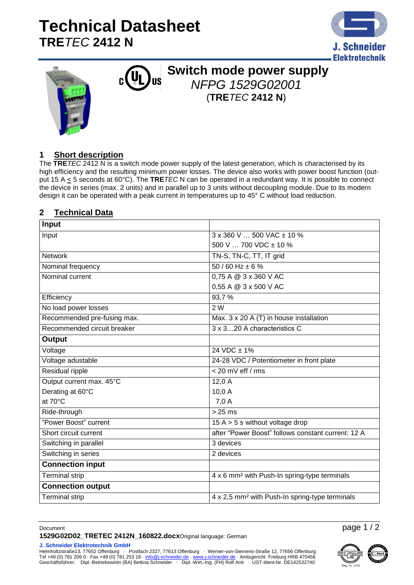# **Technical Datasheet TRE***TEC* **2412 N**







### **Switch mode power supply IIS** *NFPG 1529G02001* (**TRE***TEC* **2412 N**)

### **1 Short description**

The **TRE***TEC* 2412 N is a switch mode power supply of the latest generation, which is characterised by its high efficiency and the resulting minimum power losses. The device also works with power boost function (output 15 A < 5 seconds at 60°C). The **TRE***TEC* N can be operated in a redundant way. It is possible to connect the device in series (max. 2 units) and in parallel up to 3 units without decoupling module. Due to its modern design it can be operated with a peak current in temperatures up to 45° C without load reduction.

#### **2 Technical Data**

| Input                       |                                                            |
|-----------------------------|------------------------------------------------------------|
| Input                       | $3 \times 360$ V  500 VAC $\pm$ 10 %                       |
|                             | 500 V $\ldots$ 700 VDC $\pm$ 10 %                          |
| <b>Network</b>              | TN-S, TN-C, TT, IT grid                                    |
| Nominal frequency           | $50/60$ Hz $\pm 6$ %                                       |
| Nominal current             | 0,75 A @ 3 x 360 V AC                                      |
|                             | 0,55 A @ 3 x 500 V AC                                      |
| Efficiency                  | 93,7%                                                      |
| No load power losses        | 2 W                                                        |
| Recommended pre-fusing max. | Max. 3 x 20 A (T) in house installation                    |
| Recommended circuit breaker | 3 x 320 A characteristics C                                |
| Output                      |                                                            |
| Voltage                     | $24 VDC \pm 1\%$                                           |
| Voltage adustable           | 24-28 VDC / Potentiometer in front plate                   |
| <b>Residual ripple</b>      | $< 20$ mV eff / rms                                        |
| Output current max. 45°C    | 12,0A                                                      |
| Derating at 60°C            | 10,0 A                                                     |
| at 70°C                     | 7,0A                                                       |
| Ride-through                | $\frac{1}{25}$ ms                                          |
| "Power Boost" current       | 15 A $>$ 5 s without voltage drop                          |
| Short circuit current       | after "Power Boost" follows constant current: 12 A         |
| Switching in parallel       | 3 devices                                                  |
| Switching in series         | 2 devices                                                  |
| <b>Connection input</b>     |                                                            |
| <b>Terminal strip</b>       | 4 x 6 mm <sup>2</sup> with Push-In spring-type terminals   |
| <b>Connection output</b>    |                                                            |
| <b>Terminal strip</b>       | 4 x 2,5 mm <sup>2</sup> with Push-In spring-type terminals |

Document page 1 / 2 **1529G02D02\_TRETEC 2412N\_160822.docx**Original language: German

**J. Schneider Elektrotechnik GmbH**

Helmholtzstraße13, 77652 Offenburg · Postfach 2327, 77613 Offenburg · Werner-von-Siemens-Straße 12, 77656 Offenburg Tel +49 (0) 781 206 0 · Fax +49 (0) 781 253 18 [· info@j-schneider.de](mailto:info@j-schneider.de) · [www.j-schneider.de](http://www.j-schneider.de/) · Amtsgericht Freiburg HRB 470458 Geschäftsführer: Dipl.-Betriebswirtin (BA) Bettina Schneider · Dipl.-Wirt,-Ing. (FH) Rolf Anti · UST-Ident-Nr. DE142532740